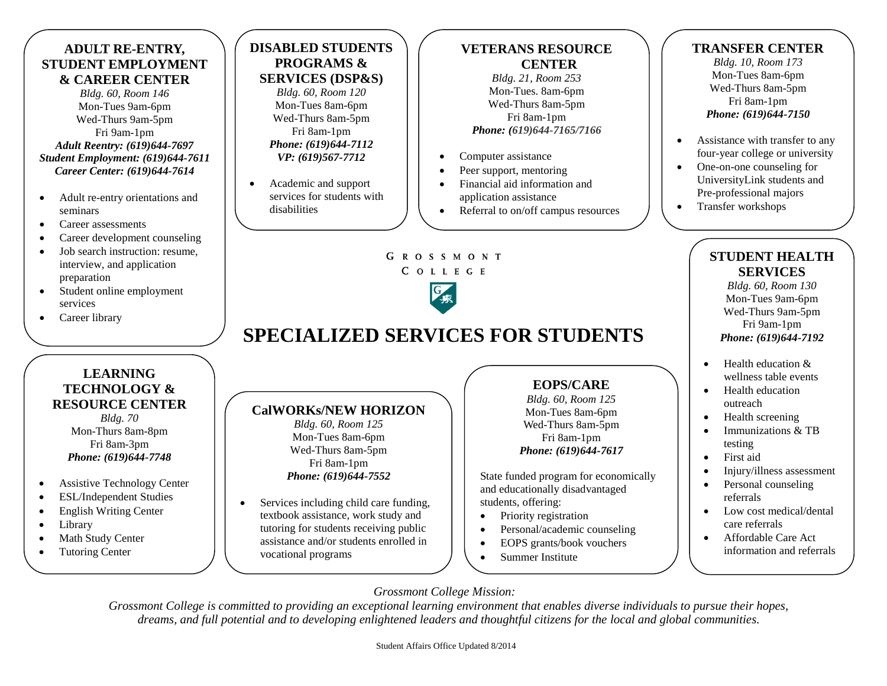# **ADULT RE-ENTRY, STUDENT EMPLOYMENT & CAREER CENTER**

*Bldg. 60, Room 146* Mon-Tues 9am-6pm Wed-Thurs 9am-5pm Fri 9am-1pm *Adult Reentry: (619)644-7697 Student Employment: (619)644-7611 Career Center: (619)644-7614*

- Adult re-entry orientations and seminars
- Career assessments
- Career development counseling
- Job search instruction: resume, interview, and application preparation
- Student online employment services

**LEARNING TECHNOLOGY & RESOURCE CENTER** *Bldg. 70*

• Career library

# **DISABLED STUDENTS PROGRAMS & SERVICES (DSP&S)**

*Bldg. 60, Room 120* Mon-Tues 8am-6pm Wed-Thurs 8am-5pm Fri 8am-1pm *Phone: (619)644-7112 VP: (619)567-7712*

 Academic and support services for students with disabilities

## **VETERANS RESOURCE CENTER**

*Bldg. 21, Room 253* Mon-Tues. 8am-6pm Wed-Thurs 8am-5pm Fri 8am-1pm *Phone: (619)644-7165/7166*

- Computer assistance
- Peer support, mentoring
- Financial aid information and application assistance
- Referral to on/off campus resources

**TRANSFER CENTER**

*Bldg. 10, Room 173* Mon-Tues 8am-6pm Wed-Thurs 8am-5pm Fri 8am-1pm *Phone: (619)644-7150*

- Assistance with transfer to any four-year college or university
- One-on-one counseling for UniversityLink students and Pre-professional majors
- Transfer workshops

# **STUDENT HEALTH SERVICES**

*Bldg. 60, Room 130* Mon-Tues 9am-6pm Wed-Thurs 9am-5pm Fri 9am-1pm *Phone: (619)644-7192*

- $\bullet$  Health education  $\&$ wellness table events
- Health education outreach
- Health screening
- Immunizations & TB testing
- First aid
- Injury/illness assessment
- Personal counseling referrals
- Low cost medical/dental care referrals
- Affordable Care Act information and referrals

#### Mon-Thurs 8am-8pm Fri 8am-3pm *Phone: (619)644-7748*

- Assistive Technology Center
- ESL/Independent Studies
- English Writing Center
- Library
- Math Study Center
- Tutoring Center

#### **CalWORKs/NEW HORIZON**  *Bldg. 60, Room 125* Mon-Tues 8am-6pm Wed-Thurs 8am-5pm Fri 8am-1pm

# *Phone: (619)644-7552*

• Services including child care funding, textbook assistance, work study and tutoring for students receiving public assistance and/or students enrolled in vocational programs

# **EOPS/CARE**

*Bldg. 60, Room 125* Mon-Tues 8am-6pm Wed-Thurs 8am-5pm Fri 8am-1pm *Phone: (619)644-7617*

State funded program for economically and educationally disadvantaged students, offering:

- Priority registration
- Personal/academic counseling
- EOPS grants/book vouchers
- Summer Institute

# *Grossmont College Mission:*

**SPECIALIZED SERVICES FOR STUDENTS**

G R O S S M O N T C O L L E G E

*Grossmont College is committed to providing an exceptional learning environment that enables diverse individuals to pursue their hopes, dreams, and full potential and to developing enlightened leaders and thoughtful citizens for the local and global communities.*